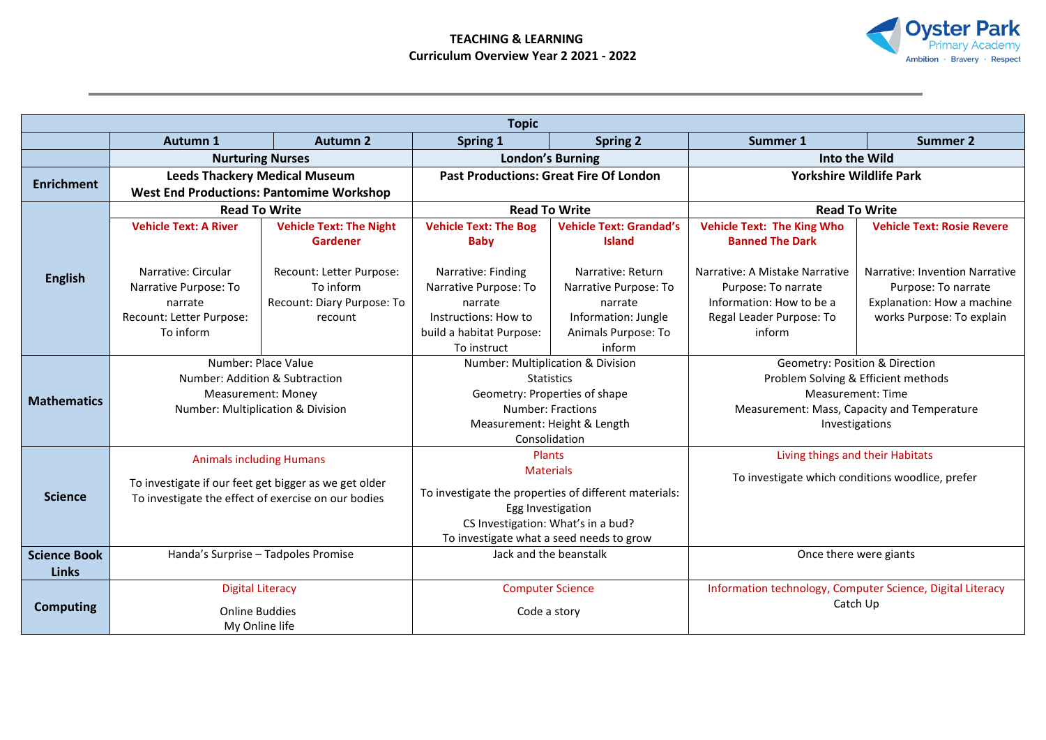## **TEACHING & LEARNING Curriculum Overview Year 2 2021 - 2022**



| <b>Topic</b>        |                                                                                                              |                                                          |                                                       |                                |                                                                                      |                                   |  |  |  |
|---------------------|--------------------------------------------------------------------------------------------------------------|----------------------------------------------------------|-------------------------------------------------------|--------------------------------|--------------------------------------------------------------------------------------|-----------------------------------|--|--|--|
|                     | <b>Autumn 1</b>                                                                                              | <b>Autumn 2</b>                                          | <b>Spring 1</b>                                       | <b>Spring 2</b>                | Summer 1                                                                             | <b>Summer 2</b>                   |  |  |  |
|                     | <b>Nurturing Nurses</b>                                                                                      |                                                          | <b>London's Burning</b>                               |                                | Into the Wild                                                                        |                                   |  |  |  |
| <b>Enrichment</b>   | <b>Leeds Thackery Medical Museum</b>                                                                         |                                                          | <b>Past Productions: Great Fire Of London</b>         |                                | <b>Yorkshire Wildlife Park</b>                                                       |                                   |  |  |  |
|                     | <b>West End Productions: Pantomime Workshop</b>                                                              |                                                          |                                                       |                                |                                                                                      |                                   |  |  |  |
|                     | <b>Read To Write</b>                                                                                         |                                                          | <b>Read To Write</b>                                  |                                | <b>Read To Write</b>                                                                 |                                   |  |  |  |
|                     | <b>Vehicle Text: A River</b>                                                                                 | <b>Vehicle Text: The Night</b>                           | <b>Vehicle Text: The Bog</b>                          | <b>Vehicle Text: Grandad's</b> | <b>Vehicle Text: The King Who</b>                                                    | <b>Vehicle Text: Rosie Revere</b> |  |  |  |
|                     |                                                                                                              | Gardener                                                 | <b>Baby</b>                                           | <b>Island</b>                  | <b>Banned The Dark</b>                                                               |                                   |  |  |  |
|                     |                                                                                                              |                                                          |                                                       |                                |                                                                                      |                                   |  |  |  |
| <b>English</b>      | Narrative: Circular                                                                                          | Recount: Letter Purpose:                                 | Narrative: Finding                                    | Narrative: Return              | Narrative: A Mistake Narrative                                                       | Narrative: Invention Narrative    |  |  |  |
|                     | Narrative Purpose: To                                                                                        | To inform                                                | Narrative Purpose: To                                 | Narrative Purpose: To          | Purpose: To narrate                                                                  | Purpose: To narrate               |  |  |  |
|                     | narrate                                                                                                      | Recount: Diary Purpose: To                               | narrate                                               | narrate                        | Information: How to be a                                                             | Explanation: How a machine        |  |  |  |
|                     | Recount: Letter Purpose:                                                                                     | recount                                                  | Instructions: How to                                  | Information: Jungle            | Regal Leader Purpose: To                                                             | works Purpose: To explain         |  |  |  |
|                     | To inform                                                                                                    |                                                          | build a habitat Purpose:<br>To instruct               | Animals Purpose: To<br>inform  | inform                                                                               |                                   |  |  |  |
|                     |                                                                                                              | Number: Multiplication & Division<br>Number: Place Value |                                                       |                                | Geometry: Position & Direction                                                       |                                   |  |  |  |
| <b>Mathematics</b>  | Number: Addition & Subtraction                                                                               |                                                          | <b>Statistics</b>                                     |                                | Problem Solving & Efficient methods                                                  |                                   |  |  |  |
|                     | <b>Measurement: Money</b>                                                                                    |                                                          | Geometry: Properties of shape                         |                                | Measurement: Time                                                                    |                                   |  |  |  |
|                     | Number: Multiplication & Division                                                                            |                                                          | Number: Fractions                                     |                                | Measurement: Mass, Capacity and Temperature                                          |                                   |  |  |  |
|                     |                                                                                                              |                                                          | Measurement: Height & Length                          |                                | Investigations                                                                       |                                   |  |  |  |
|                     |                                                                                                              |                                                          | Consolidation                                         |                                |                                                                                      |                                   |  |  |  |
|                     | <b>Animals including Humans</b>                                                                              |                                                          | Plants<br><b>Materials</b>                            |                                | Living things and their Habitats<br>To investigate which conditions woodlice, prefer |                                   |  |  |  |
|                     |                                                                                                              |                                                          |                                                       |                                |                                                                                      |                                   |  |  |  |
| <b>Science</b>      | To investigate if our feet get bigger as we get older<br>To investigate the effect of exercise on our bodies |                                                          | To investigate the properties of different materials: |                                |                                                                                      |                                   |  |  |  |
|                     |                                                                                                              |                                                          | Egg Investigation                                     |                                |                                                                                      |                                   |  |  |  |
|                     |                                                                                                              |                                                          | CS Investigation: What's in a bud?                    |                                |                                                                                      |                                   |  |  |  |
|                     |                                                                                                              |                                                          | To investigate what a seed needs to grow              |                                |                                                                                      |                                   |  |  |  |
| <b>Science Book</b> | Handa's Surprise - Tadpoles Promise                                                                          |                                                          | Jack and the beanstalk                                |                                | Once there were giants                                                               |                                   |  |  |  |
| <b>Links</b>        |                                                                                                              |                                                          |                                                       |                                |                                                                                      |                                   |  |  |  |
| <b>Computing</b>    | <b>Digital Literacy</b>                                                                                      |                                                          | <b>Computer Science</b>                               |                                | Information technology, Computer Science, Digital Literacy<br>Catch Up               |                                   |  |  |  |
|                     | <b>Online Buddies</b>                                                                                        |                                                          | Code a story                                          |                                |                                                                                      |                                   |  |  |  |
|                     | My Online life                                                                                               |                                                          |                                                       |                                |                                                                                      |                                   |  |  |  |
|                     |                                                                                                              |                                                          |                                                       |                                |                                                                                      |                                   |  |  |  |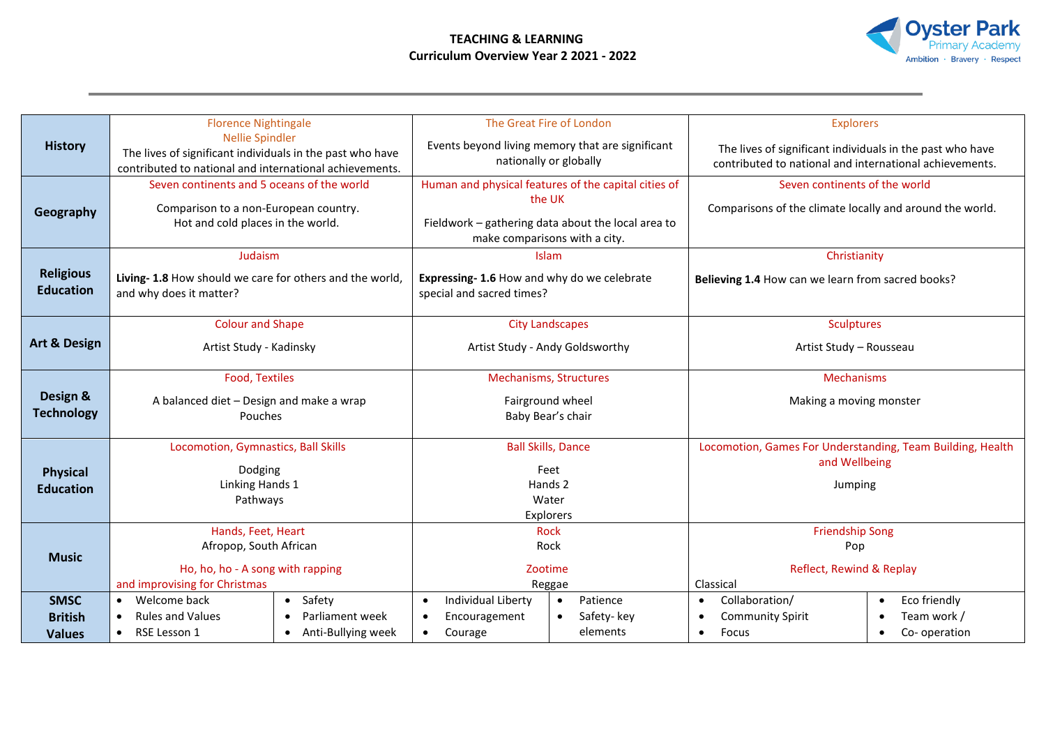## **TEACHING & LEARNING Curriculum Overview Year 2 2021 - 2022**



| <b>History</b>          | <b>Florence Nightingale</b>                               | The Great Fire of London                                        | <b>Explorers</b>                                                            |  |
|-------------------------|-----------------------------------------------------------|-----------------------------------------------------------------|-----------------------------------------------------------------------------|--|
|                         | <b>Nellie Spindler</b>                                    | Events beyond living memory that are significant                | The lives of significant individuals in the past who have                   |  |
|                         | The lives of significant individuals in the past who have | nationally or globally                                          | contributed to national and international achievements.                     |  |
|                         | contributed to national and international achievements.   |                                                                 |                                                                             |  |
|                         | Seven continents and 5 oceans of the world                | Human and physical features of the capital cities of            | Seven continents of the world                                               |  |
|                         | Comparison to a non-European country.                     | the UK                                                          | Comparisons of the climate locally and around the world.                    |  |
| Geography               | Hot and cold places in the world.                         | Fieldwork - gathering data about the local area to              |                                                                             |  |
|                         |                                                           | make comparisons with a city.                                   |                                                                             |  |
|                         | Judaism                                                   | Islam                                                           | Christianity                                                                |  |
| <b>Religious</b>        | Living- 1.8 How should we care for others and the world,  | Expressing- 1.6 How and why do we celebrate                     | Believing 1.4 How can we learn from sacred books?                           |  |
| <b>Education</b>        | and why does it matter?                                   | special and sacred times?                                       |                                                                             |  |
|                         |                                                           |                                                                 |                                                                             |  |
|                         | <b>Colour and Shape</b>                                   | <b>City Landscapes</b>                                          | <b>Sculptures</b>                                                           |  |
| <b>Art &amp; Design</b> | Artist Study - Kadinsky                                   | Artist Study - Andy Goldsworthy                                 | Artist Study - Rousseau                                                     |  |
|                         |                                                           |                                                                 |                                                                             |  |
|                         | <b>Food, Textiles</b>                                     | <b>Mechanisms, Structures</b>                                   | Mechanisms                                                                  |  |
| Design &                | A balanced diet - Design and make a wrap                  | Fairground wheel                                                | Making a moving monster                                                     |  |
| <b>Technology</b>       | Pouches                                                   | Baby Bear's chair                                               |                                                                             |  |
|                         |                                                           |                                                                 |                                                                             |  |
|                         | Locomotion, Gymnastics, Ball Skills                       | <b>Ball Skills, Dance</b>                                       | Locomotion, Games For Understanding, Team Building, Health<br>and Wellbeing |  |
| <b>Physical</b>         | Dodging                                                   | Feet                                                            |                                                                             |  |
| <b>Education</b>        | Linking Hands 1                                           | Hands 2                                                         | Jumping                                                                     |  |
|                         | Pathways                                                  | Water                                                           |                                                                             |  |
|                         |                                                           | Explorers                                                       |                                                                             |  |
|                         | Hands, Feet, Heart                                        | <b>Rock</b>                                                     | <b>Friendship Song</b>                                                      |  |
| <b>Music</b>            | Afropop, South African                                    | Rock                                                            | Pop                                                                         |  |
|                         | Ho, ho, ho - A song with rapping                          | Zootime                                                         | Reflect, Rewind & Replay                                                    |  |
|                         | and improvising for Christmas                             | Reggae                                                          | Classical                                                                   |  |
| <b>SMSC</b>             | Welcome back<br>• Safety<br>$\bullet$                     | <b>Individual Liberty</b><br>Patience<br>$\bullet$<br>$\bullet$ | Eco friendly<br>Collaboration/<br>$\bullet$<br>$\bullet$                    |  |
| <b>British</b>          | <b>Rules and Values</b><br>Parliament week                | Encouragement<br>Safety-key<br>$\bullet$                        | Team work /<br><b>Community Spirit</b><br>$\bullet$                         |  |
| <b>Values</b>           | RSE Lesson 1<br>Anti-Bullying week                        | elements<br>Courage<br>$\bullet$                                | Focus<br>Co-operation<br>$\bullet$                                          |  |